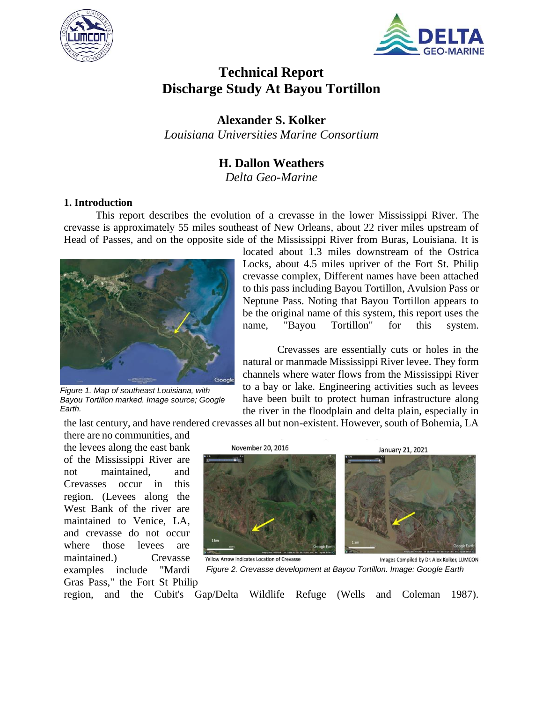



# **Technical Report Discharge Study At Bayou Tortillon**

**Alexander S. Kolker**

## *Louisiana Universities Marine Consortium*

## **H. Dallon Weathers**

*Delta Geo-Marine*

#### **1. Introduction**

This report describes the evolution of a crevasse in the lower Mississippi River. The crevasse is approximately 55 miles southeast of New Orleans, about 22 river miles upstream of Head of Passes, and on the opposite side of the Mississippi River from Buras, Louisiana. It is



*Figure 1. Map of southeast Louisiana, with Bayou Tortillon marked. Image source; Google Earth.*

located about 1.3 miles downstream of the Ostrica Locks, about 4.5 miles upriver of the Fort St. Philip crevasse complex, Different names have been attached to this pass including Bayou Tortillon, Avulsion Pass or Neptune Pass. Noting that Bayou Tortillon appears to be the original name of this system, this report uses the name, "Bayou Tortillon" for this system.

Crevasses are essentially cuts or holes in the natural or manmade Mississippi River levee. They form channels where water flows from the Mississippi River to a bay or lake. Engineering activities such as levees have been built to protect human infrastructure along the river in the floodplain and delta plain, especially in

the last century, and have rendered crevasses all but non-existent. However, south of Bohemia, LA

there are no communities, and the levees along the east bank of the Mississippi River are not maintained, and Crevasses occur in this region. (Levees along the West Bank of the river are maintained to Venice, LA, and crevasse do not occur where those levees are maintained.) Crevasse examples include "Mardi Gras Pass," the Fort St Philip



Yellow Arrow Indicates Location of Crevasse

Images Compiled by Dr. Alex Kolker, LUMCON *Figure 2. Crevasse development at Bayou Tortillon. Image: Google Earth*

region, and the Cubit's Gap/Delta Wildlife Refuge [\(Wells and Coleman 1987\).](https://paperpile.com/c/yTnu3J/4I1M)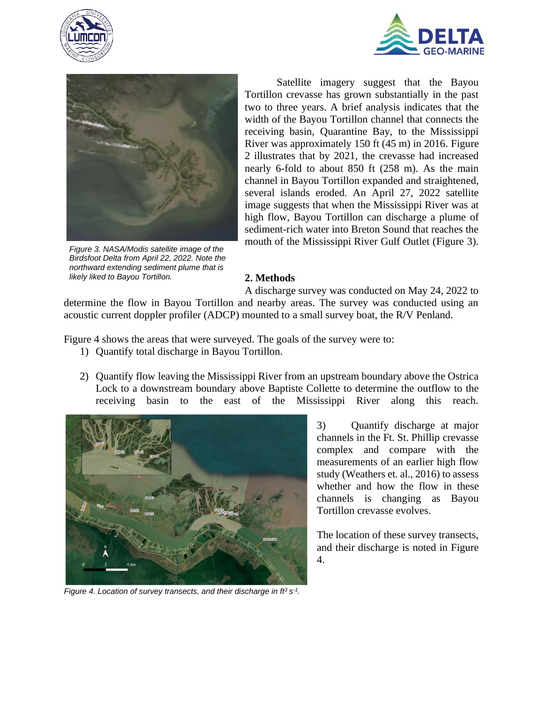





*Figure 3. NASA/Modis satellite image of the Birdsfoot Delta from April 22, 2022. Note the northward extending sediment plume that is likely liked to Bayou Tortillon.*

Satellite imagery suggest that the Bayou Tortillon crevasse has grown substantially in the past two to three years. A brief analysis indicates that the width of the Bayou Tortillon channel that connects the receiving basin, Quarantine Bay, to the Mississippi River was approximately 150 ft (45 m) in 2016. Figure 2 illustrates that by 2021, the crevasse had increased nearly 6-fold to about 850 ft (258 m). As the main channel in Bayou Tortillon expanded and straightened, several islands eroded. An April 27, 2022 satellite image suggests that when the Mississippi River was at high flow, Bayou Tortillon can discharge a plume of sediment-rich water into Breton Sound that reaches the mouth of the Mississippi River Gulf Outlet (Figure 3).

### **2. Methods**

A discharge survey was conducted on May 24, 2022 to determine the flow in Bayou Tortillon and nearby areas. The survey was conducted using an acoustic current doppler profiler (ADCP) mounted to a small survey boat, the R/V Penland.

Figure 4 shows the areas that were surveyed. The goals of the survey were to:

- 1) Quantify total discharge in Bayou Tortillon.
- 2) Quantify flow leaving the Mississippi River from an upstream boundary above the Ostrica Lock to a downstream boundary above Baptiste Collette to determine the outflow to the receiving basin to the east of the Mississippi River along this reach.



3) Quantify discharge at major channels in the Ft. St. Phillip crevasse complex and compare with the measurements of an earlier high flow study (Weathers et. al., 2016) to assess whether and how the flow in these channels is changing as Bayou Tortillon crevasse evolves.

The location of these survey transects, and their discharge is noted in Figure 4.

*Figure 4. Location of survey transects, and their discharge in*  $ft^3 s^{-1}$ *.*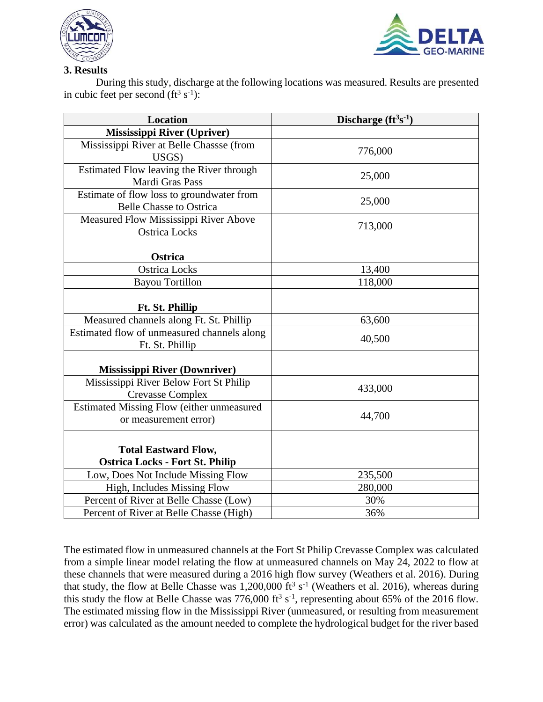



## **3. Results**

During this study, discharge at the following locations was measured. Results are presented in cubic feet per second  $(ft^3 s^{-1})$ :

| <b>Location</b>                                                             | Discharge $(f t3s-1)$ |
|-----------------------------------------------------------------------------|-----------------------|
| Mississippi River (Upriver)                                                 |                       |
| Mississippi River at Belle Chassse (from<br>USGS)                           | 776,000               |
| Estimated Flow leaving the River through<br>Mardi Gras Pass                 | 25,000                |
| Estimate of flow loss to groundwater from<br><b>Belle Chasse to Ostrica</b> | 25,000                |
| Measured Flow Mississippi River Above<br><b>Ostrica Locks</b>               | 713,000               |
| Ostrica                                                                     |                       |
| <b>Ostrica Locks</b>                                                        | 13,400                |
| <b>Bayou Tortillon</b>                                                      | 118,000               |
| Ft. St. Phillip                                                             |                       |
| Measured channels along Ft. St. Phillip                                     | 63,600                |
| Estimated flow of unmeasured channels along<br>Ft. St. Phillip              | 40,500                |
| <b>Mississippi River (Downriver)</b>                                        |                       |
| Mississippi River Below Fort St Philip<br><b>Crevasse Complex</b>           | 433,000               |
| <b>Estimated Missing Flow (either unmeasured</b><br>or measurement error)   | 44,700                |
| <b>Total Eastward Flow,</b><br><b>Ostrica Locks - Fort St. Philip</b>       |                       |
| Low, Does Not Include Missing Flow                                          | 235,500               |
| High, Includes Missing Flow                                                 | 280,000               |
| Percent of River at Belle Chasse (Low)                                      | 30%                   |
| Percent of River at Belle Chasse (High)                                     | 36%                   |

The estimated flow in unmeasured channels at the Fort St Philip Crevasse Complex was calculated from a simple linear model relating the flow at unmeasured channels on May 24, 2022 to flow at these channels that were measured during a 2016 high flow survey [\(Weathers et al. 2016\).](https://paperpile.com/c/yTnu3J/z67t) During that study, the flow at Belle Chasse was  $1,200,000$  ft<sup>3</sup> s<sup>-1</sup> [\(Weathers et al. 2016\),](https://paperpile.com/c/yTnu3J/z67t) whereas during this study the flow at Belle Chasse was 776,000 ft<sup>3</sup> s<sup>-1</sup>, representing about 65% of the 2016 flow. The estimated missing flow in the Mississippi River (unmeasured, or resulting from measurement error) was calculated as the amount needed to complete the hydrological budget for the river based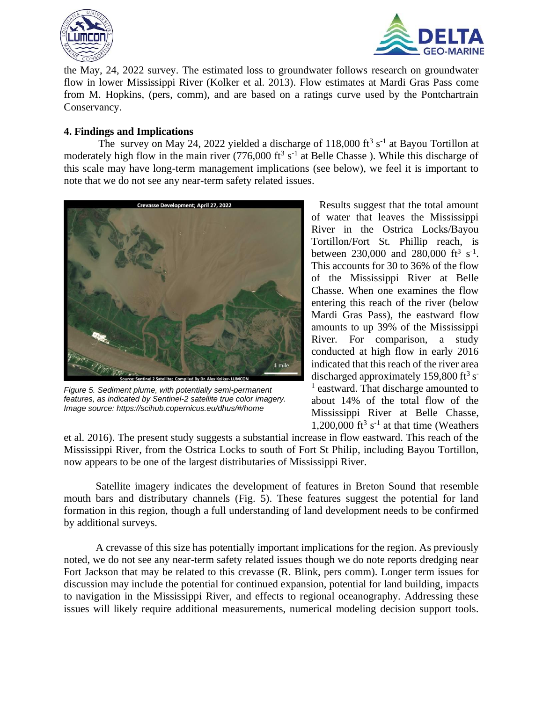



the May, 24, 2022 survey. The estimated loss to groundwater follows research on groundwater flow in lower Mississippi River [\(Kolker et al. 2013\).](https://paperpile.com/c/yTnu3J/4byA+h66T) Flow estimates at Mardi Gras Pass come from M. Hopkins, (pers, comm), and are based on a ratings curve used by the Pontchartrain Conservancy.

#### **4. Findings and Implications**

The survey on May 24, 2022 yielded a discharge of  $118,000$  ft<sup>3</sup> s<sup>-1</sup> at Bayou Tortillon at moderately high flow in the main river (776,000 ft<sup>3</sup> s<sup>-1</sup> at Belle Chasse). While this discharge of this scale may have long-term management implications (see below), we feel it is important to note that we do not see any near-term safety related issues.



*Figure 5. Sediment plume, with potentially semi-permanent features, as indicated by Sentinel-2 satellite true color imagery. Image source: https://scihub.copernicus.eu/dhus/#/home*

Results suggest that the total amount of water that leaves the Mississippi River in the Ostrica Locks/Bayou Tortillon/Fort St. Phillip reach, is between  $230,000$  and  $280,000$  ft<sup>3</sup> s<sup>-1</sup>. This accounts for 30 to 36% of the flow of the Mississippi River at Belle Chasse. When one examines the flow entering this reach of the river (below Mardi Gras Pass), the eastward flow amounts to up 39% of the Mississippi River. For comparison, a study conducted at high flow in early 2016 indicated that this reach of the river area discharged approximately 159,800 ft<sup>3</sup> s<sup>-</sup> <sup>1</sup> eastward. That discharge amounted to about 14% of the total flow of the Mississippi River at Belle Chasse, 1,200,000 ft<sup>3</sup> s<sup>-1</sup> at that time (Weathers

[et al. 2016\).](https://paperpile.com/c/yTnu3J/z67t) The present study suggests a substantial increase in flow eastward. This reach of the Mississippi River, from the Ostrica Locks to south of Fort St Philip, including Bayou Tortillon, now appears to be one of the largest distributaries of Mississippi River.

Satellite imagery indicates the development of features in Breton Sound that resemble mouth bars and distributary channels (Fig. 5). These features suggest the potential for land formation in this region, though a full understanding of land development needs to be confirmed by additional surveys.

A crevasse of this size has potentially important implications for the region. As previously noted, we do not see any near-term safety related issues though we do note reports dredging near Fort Jackson that may be related to this crevasse (R. Blink, pers comm). Longer term issues for discussion may include the potential for continued expansion, potential for land building, impacts to navigation in the Mississippi River, and effects to regional oceanography. Addressing these issues will likely require additional measurements, numerical modeling decision support tools.